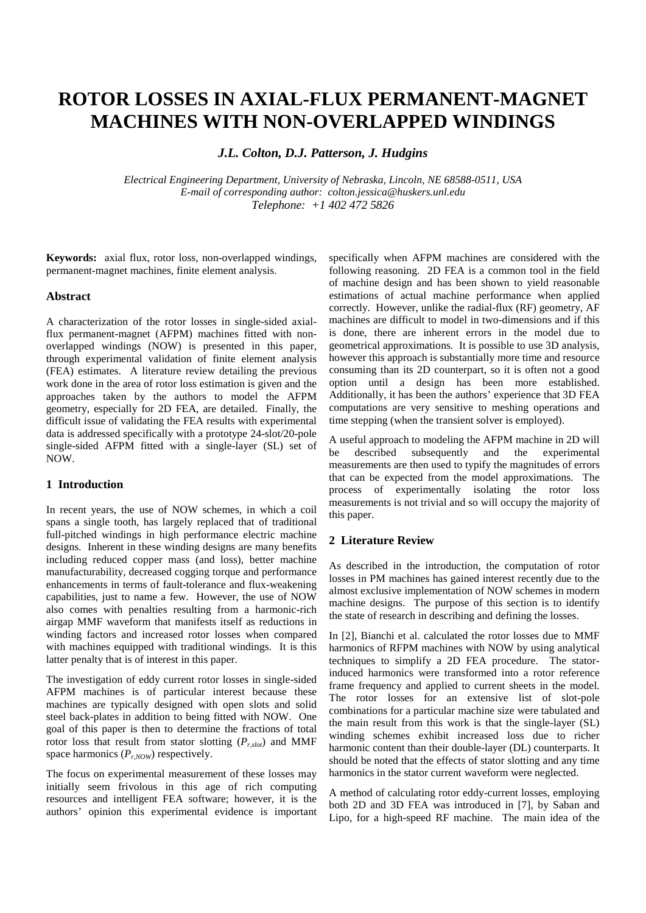# **ROTOR LOSSES IN AXIAL-FLUX PERMANENT-MAGNET MACHINES WITH NON-OVERLAPPED WINDINGS**

*J.L. Colton, D.J. Patterson, J. Hudgins*

*Electrical Engineering Department, University of Nebraska, Lincoln, NE 68588-0511, USA E-mail of corresponding author: colton.jessica@huskers.unl.edu Telephone: +1 402 472 5826*

**Keywords:** axial flux, rotor loss, non-overlapped windings, permanent-magnet machines, finite element analysis.

#### **Abstract**

A characterization of the rotor losses in single-sided axialflux permanent-magnet (AFPM) machines fitted with nonoverlapped windings (NOW) is presented in this paper, through experimental validation of finite element analysis (FEA) estimates. A literature review detailing the previous work done in the area of rotor loss estimation is given and the approaches taken by the authors to model the AFPM geometry, especially for 2D FEA, are detailed. Finally, the difficult issue of validating the FEA results with experimental data is addressed specifically with a prototype 24-slot/20-pole single-sided AFPM fitted with a single-layer (SL) set of NOW.

# **1 Introduction**

In recent years, the use of NOW schemes, in which a coil spans a single tooth, has largely replaced that of traditional full-pitched windings in high performance electric machine designs. Inherent in these winding designs are many benefits including reduced copper mass (and loss), better machine manufacturability, decreased cogging torque and performance enhancements in terms of fault-tolerance and flux-weakening capabilities, just to name a few. However, the use of NOW also comes with penalties resulting from a harmonic-rich airgap MMF waveform that manifests itself as reductions in winding factors and increased rotor losses when compared with machines equipped with traditional windings. It is this latter penalty that is of interest in this paper.

The investigation of eddy current rotor losses in single-sided AFPM machines is of particular interest because these machines are typically designed with open slots and solid steel back-plates in addition to being fitted with NOW. One goal of this paper is then to determine the fractions of total rotor loss that result from stator slotting  $(P_{r,slot})$  and MMF space harmonics  $(P_{r,Now})$  respectively.

The focus on experimental measurement of these losses may initially seem frivolous in this age of rich computing resources and intelligent FEA software; however, it is the authors' opinion this experimental evidence is important

specifically when AFPM machines are considered with the following reasoning. 2D FEA is a common tool in the field of machine design and has been shown to yield reasonable estimations of actual machine performance when applied correctly. However, unlike the radial-flux (RF) geometry, AF machines are difficult to model in two-dimensions and if this is done, there are inherent errors in the model due to geometrical approximations. It is possible to use 3D analysis, however this approach is substantially more time and resource consuming than its 2D counterpart, so it is often not a good option until a design has been more established. Additionally, it has been the authors' experience that 3D FEA computations are very sensitive to meshing operations and time stepping (when the transient solver is employed).

A useful approach to modeling the AFPM machine in 2D will be described subsequently and the experimental measurements are then used to typify the magnitudes of errors that can be expected from the model approximations. The process of experimentally isolating the rotor loss measurements is not trivial and so will occupy the majority of this paper.

#### **2 Literature Review**

As described in the introduction, the computation of rotor losses in PM machines has gained interest recently due to the almost exclusive implementation of NOW schemes in modern machine designs. The purpose of this section is to identify the state of research in describing and defining the losses.

In [2], Bianchi et al. calculated the rotor losses due to MMF harmonics of RFPM machines with NOW by using analytical techniques to simplify a 2D FEA procedure. The statorinduced harmonics were transformed into a rotor reference frame frequency and applied to current sheets in the model. The rotor losses for an extensive list of slot-pole combinations for a particular machine size were tabulated and the main result from this work is that the single-layer (SL) winding schemes exhibit increased loss due to richer harmonic content than their double-layer (DL) counterparts. It should be noted that the effects of stator slotting and any time harmonics in the stator current waveform were neglected.

A method of calculating rotor eddy-current losses, employing both 2D and 3D FEA was introduced in [7], by Saban and Lipo, for a high-speed RF machine. The main idea of the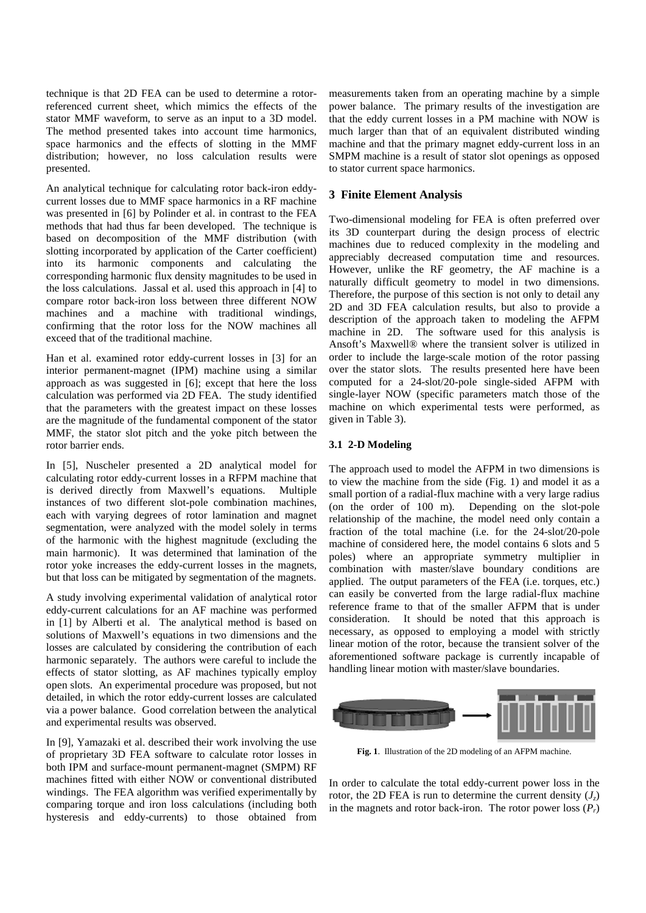technique is that 2D FEA can be used to determine a rotorreferenced current sheet, which mimics the effects of the stator MMF waveform, to serve as an input to a 3D model. The method presented takes into account time harmonics, space harmonics and the effects of slotting in the MMF distribution; however, no loss calculation results were presented.

An analytical technique for calculating rotor back-iron eddycurrent losses due to MMF space harmonics in a RF machine was presented in [6] by Polinder et al. in contrast to the FEA methods that had thus far been developed. The technique is based on decomposition of the MMF distribution (with slotting incorporated by application of the Carter coefficient) into its harmonic components and calculating the corresponding harmonic flux density magnitudes to be used in the loss calculations. Jassal et al. used this approach in [4] to compare rotor back-iron loss between three different NOW machines and a machine with traditional windings, confirming that the rotor loss for the NOW machines all exceed that of the traditional machine.

Han et al. examined rotor eddy-current losses in [3] for an interior permanent-magnet (IPM) machine using a similar approach as was suggested in [6]; except that here the loss calculation was performed via 2D FEA. The study identified that the parameters with the greatest impact on these losses are the magnitude of the fundamental component of the stator MMF, the stator slot pitch and the yoke pitch between the rotor barrier ends.

In [5], Nuscheler presented a 2D analytical model for calculating rotor eddy-current losses in a RFPM machine that is derived directly from Maxwell's equations. Multiple instances of two different slot-pole combination machines, each with varying degrees of rotor lamination and magnet segmentation, were analyzed with the model solely in terms of the harmonic with the highest magnitude (excluding the main harmonic). It was determined that lamination of the rotor yoke increases the eddy-current losses in the magnets, but that loss can be mitigated by segmentation of the magnets.

A study involving experimental validation of analytical rotor eddy-current calculations for an AF machine was performed in [1] by Alberti et al. The analytical method is based on solutions of Maxwell's equations in two dimensions and the losses are calculated by considering the contribution of each harmonic separately. The authors were careful to include the effects of stator slotting, as AF machines typically employ open slots. An experimental procedure was proposed, but not detailed, in which the rotor eddy-current losses are calculated via a power balance. Good correlation between the analytical and experimental results was observed.

In [9], Yamazaki et al. described their work involving the use of proprietary 3D FEA software to calculate rotor losses in both IPM and surface-mount permanent-magnet (SMPM) RF machines fitted with either NOW or conventional distributed windings. The FEA algorithm was verified experimentally by comparing torque and iron loss calculations (including both hysteresis and eddy-currents) to those obtained from

measurements taken from an operating machine by a simple power balance. The primary results of the investigation are that the eddy current losses in a PM machine with NOW is much larger than that of an equivalent distributed winding machine and that the primary magnet eddy-current loss in an SMPM machine is a result of stator slot openings as opposed to stator current space harmonics.

# **3 Finite Element Analysis**

Two-dimensional modeling for FEA is often preferred over its 3D counterpart during the design process of electric machines due to reduced complexity in the modeling and appreciably decreased computation time and resources. However, unlike the RF geometry, the AF machine is a naturally difficult geometry to model in two dimensions. Therefore, the purpose of this section is not only to detail any 2D and 3D FEA calculation results, but also to provide a description of the approach taken to modeling the AFPM machine in 2D. The software used for this analysis is Ansoft's Maxwell® where the transient solver is utilized in order to include the large-scale motion of the rotor passing over the stator slots. The results presented here have been computed for a 24-slot/20-pole single-sided AFPM with single-layer NOW (specific parameters match those of the machine on which experimental tests were performed, as given in Table 3).

## **3.1 2-D Modeling**

The approach used to model the AFPM in two dimensions is to view the machine from the side (Fig. 1) and model it as a small portion of a radial-flux machine with a very large radius (on the order of 100 m). Depending on the slot-pole relationship of the machine, the model need only contain a fraction of the total machine (i.e. for the 24-slot/20-pole machine of considered here, the model contains 6 slots and 5 poles) where an appropriate symmetry multiplier in combination with master/slave boundary conditions are applied. The output parameters of the FEA (i.e. torques, etc.) can easily be converted from the large radial-flux machine reference frame to that of the smaller AFPM that is under consideration. It should be noted that this approach is necessary, as opposed to employing a model with strictly linear motion of the rotor, because the transient solver of the aforementioned software package is currently incapable of handling linear motion with master/slave boundaries.



**Fig. 1**. Illustration of the 2D modeling of an AFPM machine.

In order to calculate the total eddy-current power loss in the rotor, the 2D FEA is run to determine the current density  $(J_z)$ in the magnets and rotor back-iron. The rotor power loss  $(P_r)$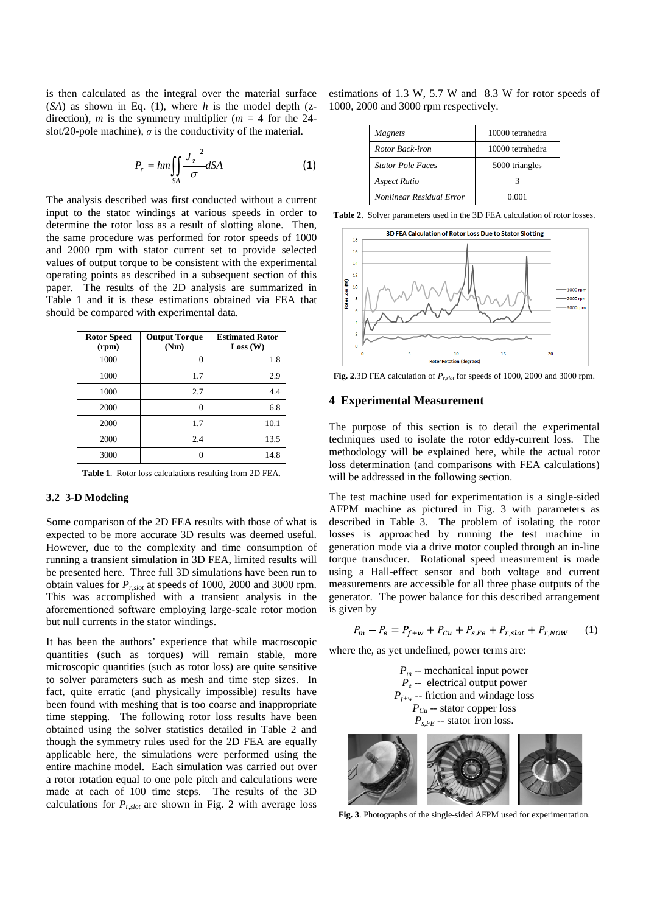is then calculated as the integral over the material surface  $(SA)$  as shown in Eq. (1), where *h* is the model depth (zdirection), *m* is the symmetry multiplier ( $m = 4$  for the 24slot/20-pole machine),  $\sigma$  is the conductivity of the material.

$$
P_r = hm \iint_{SA} \frac{|J_z|^2}{\sigma} dSA \tag{1}
$$

The analysis described was first conducted without a current input to the stator windings at various speeds in order to determine the rotor loss as a result of slotting alone. Then, the same procedure was performed for rotor speeds of 1000 and 2000 rpm with stator current set to provide selected values of output torque to be consistent with the experimental operating points as described in a subsequent section of this paper. The results of the 2D analysis are summarized in Table 1 and it is these estimations obtained via FEA that should be compared with experimental data.

| <b>Rotor Speed</b><br>(rpm) | <b>Output Torque</b><br>(Nm) | <b>Estimated Rotor</b><br>Loss (W) |
|-----------------------------|------------------------------|------------------------------------|
| 1000                        | 0                            | 1.8                                |
| 1000                        | 1.7                          | 2.9                                |
| 1000                        | 2.7                          | 4.4                                |
| 2000                        | 0                            | 6.8                                |
| 2000                        | 1.7                          | 10.1                               |
| 2000                        | 2.4                          | 13.5                               |
| 3000                        | 0                            | 14.8                               |

**Table 1**. Rotor loss calculations resulting from 2D FEA.

#### **3.2 3-D Modeling**

Some comparison of the 2D FEA results with those of what is expected to be more accurate 3D results was deemed useful. However, due to the complexity and time consumption of running a transient simulation in 3D FEA, limited results will be presented here. Three full 3D simulations have been run to obtain values for *Pr,slot* at speeds of 1000, 2000 and 3000 rpm. This was accomplished with a transient analysis in the aforementioned software employing large-scale rotor motion but null currents in the stator windings.

It has been the authors' experience that while macroscopic quantities (such as torques) will remain stable, more microscopic quantities (such as rotor loss) are quite sensitive to solver parameters such as mesh and time step sizes. In fact, quite erratic (and physically impossible) results have been found with meshing that is too coarse and inappropriate time stepping. The following rotor loss results have been obtained using the solver statistics detailed in Table 2 and though the symmetry rules used for the 2D FEA are equally applicable here, the simulations were performed using the entire machine model. Each simulation was carried out over a rotor rotation equal to one pole pitch and calculations were made at each of 100 time steps. The results of the 3D calculations for  $P_{r,slot}$  are shown in Fig. 2 with average loss

estimations of 1.3 W, 5.7 W and 8.3 W for rotor speeds of 1000, 2000 and 3000 rpm respectively.

| <i>Magnets</i>           | 10000 tetrahedra |
|--------------------------|------------------|
| <b>Rotor Back-iron</b>   | 10000 tetrahedra |
| <b>Stator Pole Faces</b> | 5000 triangles   |
| Aspect Ratio             |                  |
| Nonlinear Residual Error | 0.001            |

**Table 2**. Solver parameters used in the 3D FEA calculation of rotor losses.



**Fig. 2**.3D FEA calculation of *Pr,slot* for speeds of 1000, 2000 and 3000 rpm.

#### **4 Experimental Measurement**

The purpose of this section is to detail the experimental techniques used to isolate the rotor eddy-current loss. The methodology will be explained here, while the actual rotor loss determination (and comparisons with FEA calculations) will be addressed in the following section.

The test machine used for experimentation is a single-sided AFPM machine as pictured in Fig. 3 with parameters as described in Table 3. The problem of isolating the rotor losses is approached by running the test machine in generation mode via a drive motor coupled through an in-line torque transducer. Rotational speed measurement is made using a Hall-effect sensor and both voltage and current measurements are accessible for all three phase outputs of the generator. The power balance for this described arrangement is given by

$$
P_m - P_e = P_{f+w} + P_{Cu} + P_{s,Fe} + P_{r,slot} + P_{r,Now} \tag{1}
$$

where the, as yet undefined, power terms are:

*Pm* -- mechanical input power  $P_e$  -- electrical output power  $P_{f+w}$  -- friction and windage loss  $P_{Cu}$  -- stator copper loss  $P_{s,FE}$  -- stator iron loss.



**Fig. 3**. Photographs of the single-sided AFPM used for experimentation.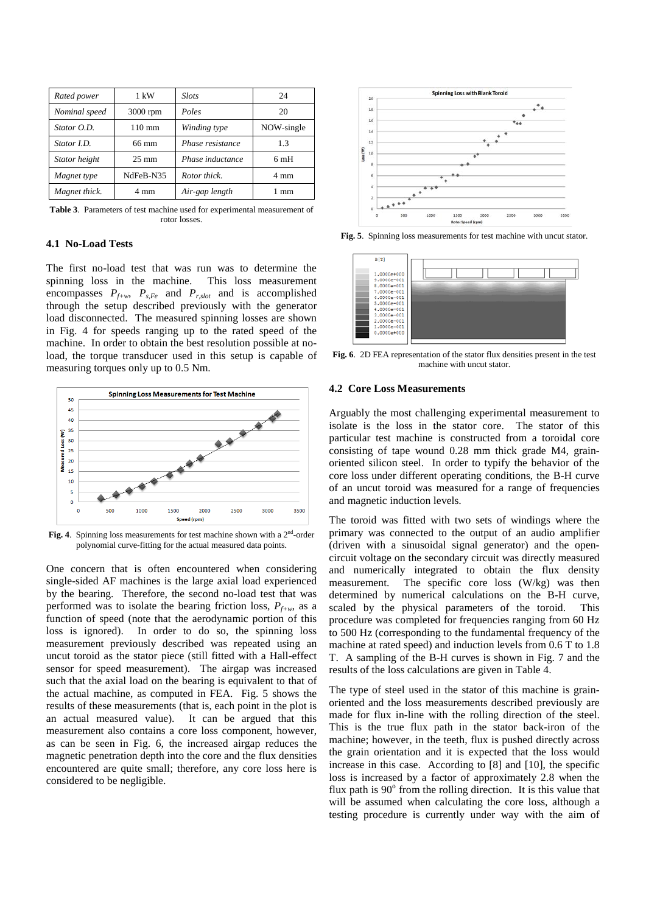| Rated power   | 1 kW             | <b>Slots</b>     | 24             |
|---------------|------------------|------------------|----------------|
| Nominal speed | $3000$ rpm       | Poles            | 20             |
| Stator O.D.   | $110 \text{ mm}$ | Winding type     | NOW-single     |
| Stator I.D.   | 66 mm            | Phase resistance | 1.3            |
| Stator height | $25 \text{ mm}$  | Phase inductance | 6mH            |
| Magnet type   | NdFeB-N35        | Rotor thick.     | $4 \text{ mm}$ |
| Magnet thick. | 4 mm             | Air-gap length   | mm             |

**Table 3**. Parameters of test machine used for experimental measurement of rotor losses.

## **4.1 No-Load Tests**

The first no-load test that was run was to determine the spinning loss in the machine. This loss measurement encompasses  $P_{f+w}$ ,  $P_{s,Fe}$  and  $P_{r,slot}$  and is accomplished through the setup described previously with the generator load disconnected. The measured spinning losses are shown in Fig. 4 for speeds ranging up to the rated speed of the machine. In order to obtain the best resolution possible at noload, the torque transducer used in this setup is capable of measuring torques only up to 0.5 Nm.



Fig. 4. Spinning loss measurements for test machine shown with a 2<sup>nd</sup>-order polynomial curve-fitting for the actual measured data points.

One concern that is often encountered when considering single-sided AF machines is the large axial load experienced by the bearing. Therefore, the second no-load test that was performed was to isolate the bearing friction loss,  $P_{f+w}$ , as a function of speed (note that the aerodynamic portion of this loss is ignored). In order to do so, the spinning loss measurement previously described was repeated using an uncut toroid as the stator piece (still fitted with a Hall-effect sensor for speed measurement). The airgap was increased such that the axial load on the bearing is equivalent to that of the actual machine, as computed in FEA. Fig. 5 shows the results of these measurements (that is, each point in the plot is an actual measured value). It can be argued that this measurement also contains a core loss component, however, as can be seen in Fig. 6, the increased airgap reduces the magnetic penetration depth into the core and the flux densities encountered are quite small; therefore, any core loss here is considered to be negligible.



**Fig. 5**. Spinning loss measurements for test machine with uncut stator.



**Fig. 6**. 2D FEA representation of the stator flux densities present in the test machine with uncut stator.

#### **4.2 Core Loss Measurements**

Arguably the most challenging experimental measurement to isolate is the loss in the stator core. The stator of this particular test machine is constructed from a toroidal core consisting of tape wound 0.28 mm thick grade M4, grainoriented silicon steel. In order to typify the behavior of the core loss under different operating conditions, the B-H curve of an uncut toroid was measured for a range of frequencies and magnetic induction levels.

The toroid was fitted with two sets of windings where the primary was connected to the output of an audio amplifier (driven with a sinusoidal signal generator) and the opencircuit voltage on the secondary circuit was directly measured and numerically integrated to obtain the flux density measurement. The specific core loss (W/kg) was then determined by numerical calculations on the B-H curve, scaled by the physical parameters of the toroid. This procedure was completed for frequencies ranging from 60 Hz to 500 Hz (corresponding to the fundamental frequency of the machine at rated speed) and induction levels from 0.6 T to 1.8 T. A sampling of the B-H curves is shown in Fig. 7 and the results of the loss calculations are given in Table 4.

The type of steel used in the stator of this machine is grainoriented and the loss measurements described previously are made for flux in-line with the rolling direction of the steel. This is the true flux path in the stator back-iron of the machine; however, in the teeth, flux is pushed directly across the grain orientation and it is expected that the loss would increase in this case. According to [8] and [10], the specific loss is increased by a factor of approximately 2.8 when the flux path is  $90^\circ$  from the rolling direction. It is this value that will be assumed when calculating the core loss, although a testing procedure is currently under way with the aim of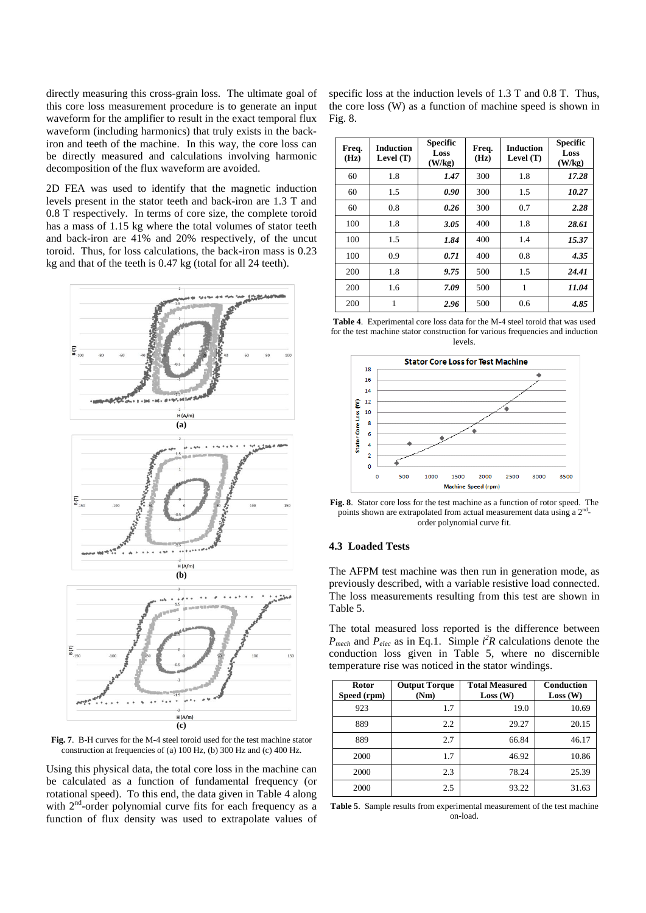directly measuring this cross-grain loss. The ultimate goal of this core loss measurement procedure is to generate an input waveform for the amplifier to result in the exact temporal flux waveform (including harmonics) that truly exists in the backiron and teeth of the machine. In this way, the core loss can be directly measured and calculations involving harmonic decomposition of the flux waveform are avoided.

2D FEA was used to identify that the magnetic induction levels present in the stator teeth and back-iron are 1.3 T and 0.8 T respectively. In terms of core size, the complete toroid has a mass of 1.15 kg where the total volumes of stator teeth and back-iron are 41% and 20% respectively, of the uncut toroid. Thus, for loss calculations, the back-iron mass is 0.23 kg and that of the teeth is 0.47 kg (total for all 24 teeth).



**Fig. 7**. B-H curves for the M-4 steel toroid used for the test machine stator construction at frequencies of (a) 100 Hz, (b) 300 Hz and (c) 400 Hz.

Using this physical data, the total core loss in the machine can be calculated as a function of fundamental frequency (or rotational speed). To this end, the data given in Table 4 along with  $2<sup>nd</sup>$ -order polynomial curve fits for each frequency as a function of flux density was used to extrapolate values of

specific loss at the induction levels of 1.3 T and 0.8 T. Thus, the core loss (W) as a function of machine speed is shown in Fig. 8.

| Freq.<br>(Hz) | <b>Induction</b><br>Level $(T)$ | <b>Specific</b><br>Loss<br>(W/kg) | Freq.<br>(Hz) | <b>Induction</b><br>Level $(T)$ | <b>Specific</b><br>Loss<br>(W/kg) |
|---------------|---------------------------------|-----------------------------------|---------------|---------------------------------|-----------------------------------|
| 60            | 1.8                             | 1.47                              | 300           | 1.8                             | 17.28                             |
| 60            | 1.5                             | 0.90                              | 300           | 1.5                             | 10.27                             |
| 60            | 0.8                             | 0.26                              | 300           | 0.7                             | 2.28                              |
| 100           | 1.8                             | 3.05                              | 400           | 1.8                             | 28.61                             |
| 100           | 1.5                             | 1.84                              | 400           | 1.4                             | 15.37                             |
| 100           | 0.9                             | 0.71                              | 400           | 0.8                             | 4.35                              |
| 200           | 1.8                             | 9.75                              | 500           | 1.5                             | 24.41                             |
| 200           | 1.6                             | 7.09                              | 500           | 1                               | 11.04                             |
| 200           | 1                               | 2.96                              | 500           | 0.6                             | 4.85                              |

**Table 4**. Experimental core loss data for the M-4 steel toroid that was used for the test machine stator construction for various frequencies and induction levels.



**Fig. 8**. Stator core loss for the test machine as a function of rotor speed. The points shown are extrapolated from actual measurement data using a 2<sup>nd</sup>order polynomial curve fit.

# **4.3 Loaded Tests**

The AFPM test machine was then run in generation mode, as previously described, with a variable resistive load connected. The loss measurements resulting from this test are shown in Table 5.

The total measured loss reported is the difference between  $P_{\text{mech}}$  and  $P_{\text{elec}}$  as in Eq.1. Simple  $i^2R$  calculations denote the conduction loss given in Table 5, where no discernible temperature rise was noticed in the stator windings.

| Rotor<br>Speed (rpm) | <b>Output Torque</b><br>(Nm) | <b>Total Measured</b><br>Loss (W) | Conduction<br>Loss (W) |
|----------------------|------------------------------|-----------------------------------|------------------------|
| 923                  | 1.7                          | 19.0                              | 10.69                  |
| 889                  | 2.2                          | 29.27                             | 20.15                  |
| 889                  | 2.7                          | 66.84                             | 46.17                  |
| 2000                 | 1.7                          | 46.92                             | 10.86                  |
| 2000                 | 2.3                          | 78.24                             | 25.39                  |
| 2000                 | 2.5                          | 93.22                             | 31.63                  |

**Table 5**. Sample results from experimental measurement of the test machine on-load.